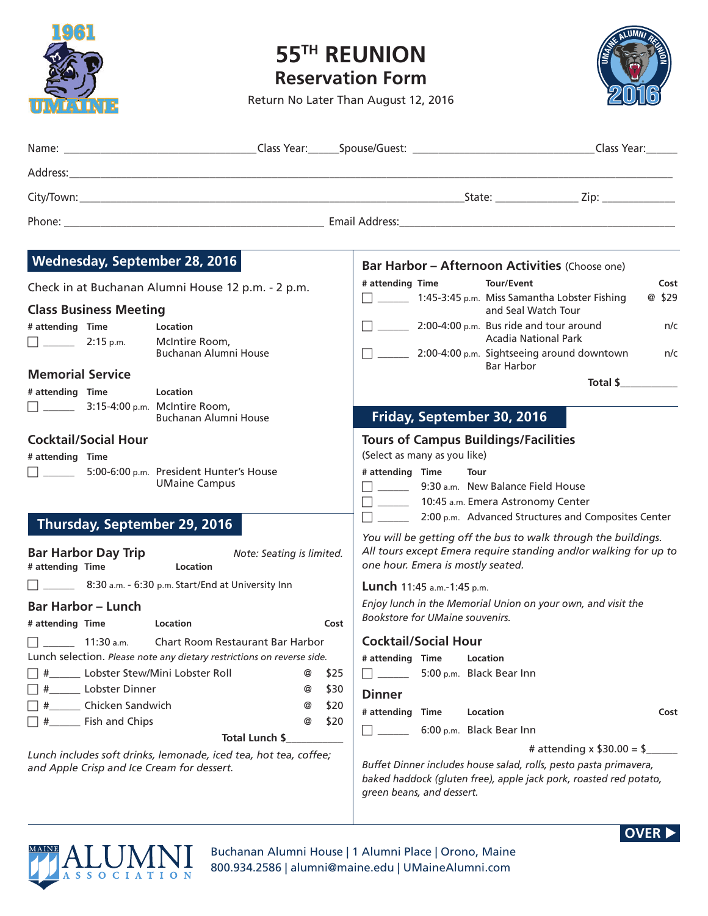

## **55TH REUNION Reservation Form**

Return No Later Than August 12, 2016



| Wednesday, September 28, 2016                                                                                  | Bar Harbor - Afternoon Activities (Choose one)                                                                                                                            |  |  |
|----------------------------------------------------------------------------------------------------------------|---------------------------------------------------------------------------------------------------------------------------------------------------------------------------|--|--|
| Check in at Buchanan Alumni House 12 p.m. - 2 p.m.                                                             | # attending Time<br>Tour/Event<br>Cost<br>$\Box$ 1:45-3:45 p.m. Miss Samantha Lobster Fishing<br>@ \$29                                                                   |  |  |
| <b>Class Business Meeting</b>                                                                                  | and Seal Watch Tour                                                                                                                                                       |  |  |
| # attending Time<br>Location                                                                                   | $\Box$ 2:00-4:00 p.m. Bus ride and tour around<br>n/c<br><b>Acadia National Park</b>                                                                                      |  |  |
| $\Box$ 2:15 p.m.<br>McIntire Room,<br>Buchanan Alumni House                                                    | 7. 2:00-4:00 p.m. Sightseeing around downtown n/c<br>Bar Harbor                                                                                                           |  |  |
| <b>Memorial Service</b>                                                                                        | Total \$                                                                                                                                                                  |  |  |
| # attending Time<br><b>Location</b>                                                                            |                                                                                                                                                                           |  |  |
| $\Box$ 3:15-4:00 p.m. McIntire Room,<br>Buchanan Alumni House                                                  | Friday, September 30, 2016                                                                                                                                                |  |  |
| <b>Cocktail/Social Hour</b>                                                                                    | <b>Tours of Campus Buildings/Facilities</b>                                                                                                                               |  |  |
| # attending Time                                                                                               | (Select as many as you like)                                                                                                                                              |  |  |
| $\Box$ 5:00-6:00 p.m. President Hunter's House<br><b>UMaine Campus</b>                                         | # attending Time<br>Tour<br>9:30 a.m. New Balance Field House<br>□ ______ 10:45 a.m. Emera Astronomy Center<br>$\Box$ 2:00 p.m. Advanced Structures and Composites Center |  |  |
| Thursday, September 29, 2016                                                                                   | You will be getting off the bus to walk through the buildings.                                                                                                            |  |  |
| <b>Bar Harbor Day Trip</b><br>Note: Seating is limited.<br># attending Time<br>Location                        | All tours except Emera require standing and/or walking for up to<br>one hour. Emera is mostly seated.                                                                     |  |  |
| 8:30 a.m. - 6:30 p.m. Start/End at University Inn                                                              | Lunch 11:45 a.m.-1:45 p.m.                                                                                                                                                |  |  |
| <b>Bar Harbor – Lunch</b>                                                                                      | Enjoy lunch in the Memorial Union on your own, and visit the                                                                                                              |  |  |
| # attending Time<br>Cost<br><b>Example 1</b> Location                                                          | Bookstore for UMaine souvenirs.                                                                                                                                           |  |  |
| $\Box$ 11:30 a.m. Chart Room Restaurant Bar Harbor                                                             | <b>Cocktail/Social Hour</b>                                                                                                                                               |  |  |
| Lunch selection. Please note any dietary restrictions on reverse side.                                         | # attending Time<br>Location                                                                                                                                              |  |  |
| Lobster Stew/Mini Lobster Roll<br>\$25<br>#<br>@                                                               | 5:00 p.m. Black Bear Inn                                                                                                                                                  |  |  |
| Lobster Dinner<br>\$30<br>@                                                                                    | <b>Dinner</b>                                                                                                                                                             |  |  |
| Chicken Sandwich<br>\$20<br>#<br>@                                                                             | # attending Time<br>Location<br>Cost                                                                                                                                      |  |  |
| Fish and Chips<br>#<br>@<br>\$20                                                                               | 6:00 p.m. Black Bear Inn                                                                                                                                                  |  |  |
| Total Lunch \$                                                                                                 | # attending x $$30.00 = $$                                                                                                                                                |  |  |
| Lunch includes soft drinks, lemonade, iced tea, hot tea, coffee;<br>and Apple Crisp and Ice Cream for dessert. | Buffet Dinner includes house salad, rolls, pesto pasta primavera,<br>baked haddock (gluten free), apple jack pork, roasted red potato,<br>green beans, and dessert.       |  |  |